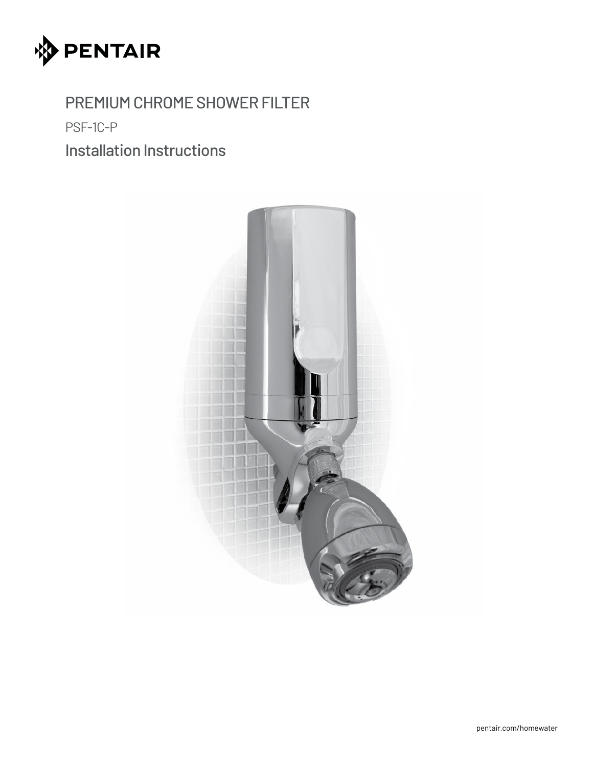

PREMIUM CHROME SHOWER FILTER

PSF-1C-P

Installation Instructions

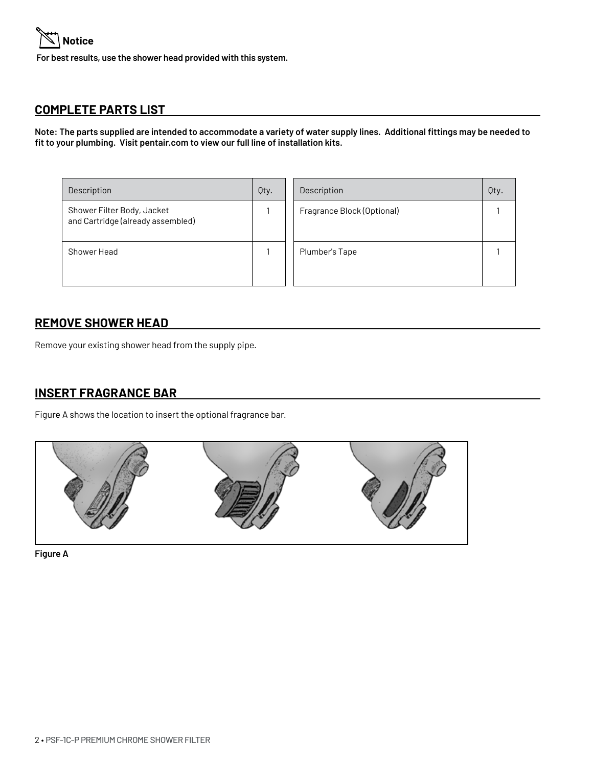

**For best results, use the shower head provided with this system.**

### **COMPLETE PARTS LIST**

**Note: The parts supplied are intended to accommodate a variety of water supply lines. Additional fittings may be needed to fit to your plumbing. Visit pentair.com to view our full line of installation kits.**

| Description                                                     | Qty. | Description                | Qty. |
|-----------------------------------------------------------------|------|----------------------------|------|
| Shower Filter Body, Jacket<br>and Cartridge (already assembled) |      | Fragrance Block (Optional) |      |
| Shower Head                                                     |      | Plumber's Tape             |      |

#### **REMOVE SHOWER HEAD**

Remove your existing shower head from the supply pipe.

#### **INSERT FRAGRANCE BAR**

Figure A shows the location to insert the optional fragrance bar.



**Figure A**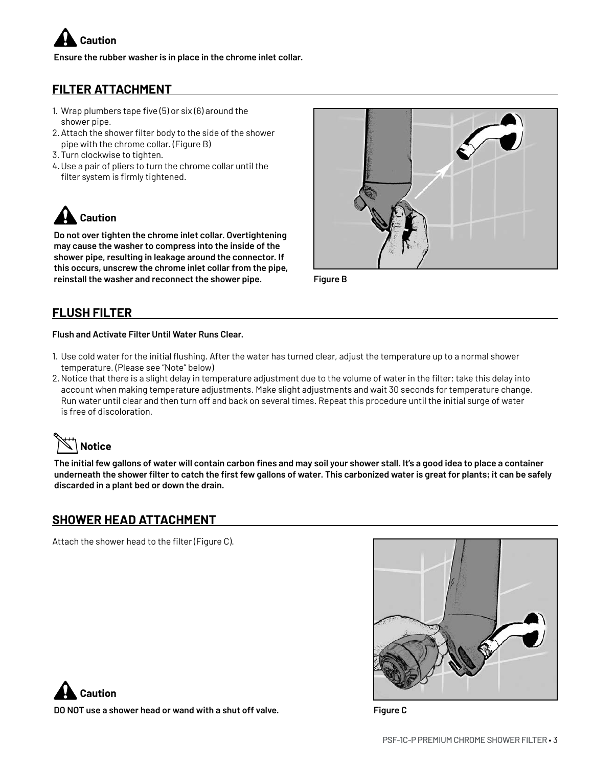

**Ensure the rubber washer is in place in the chrome inlet collar.**

## **FILTER ATTACHMENT**

- 1. Wrap plumbers tape five  $(5)$  or six  $(6)$  around the shower pipe.
- 2. Attach the shower filter body to the side of the shower pipe with the chrome collar. (Figure B)
- 3. Turn clockwise to tighten.
- 4.Use a pair of pliers to turn the chrome collar until the filter system is firmly tightened.

**Caution**

**Do not over tighten the chrome inlet collar. Overtightening may cause the washer to compress into the inside of the shower pipe, resulting in leakage around the connector. If this occurs, unscrew the chrome inlet collar from the pipe, reinstall the washer and reconnect the shower pipe.**



**Figure B**

### **FLUSH FILTER**

#### **Flush and Activate Filter Until Water Runs Clear.**

- 1. Use cold water for the initial flushing. After the water has turned clear, adjust the temperature up to a normal shower temperature. (Please see "Note" below)
- 2. Notice that there is a slight delay in temperature adjustment due to the volume of water in the filter; take this delay into account when making temperature adjustments. Make slight adjustments and wait 30 seconds for temperature change. Run water until clear and then turn off and back on several times. Repeat this procedure until the initial surge of water is free of discoloration.

# **Notice**

**The initial few gallons of water will contain carbon fines and may soil your shower stall. It's a good idea to place a container underneath the shower filter to catch the first few gallons of water. This carbonized water is great for plants; it can be safely discarded in a plant bed or down the drain.**

#### **SHOWER HEAD ATTACHMENT**

Attach the shower head to the filter (Figure C).





**DO NOT use a shower head or wand with a shut off valve. Figure C**